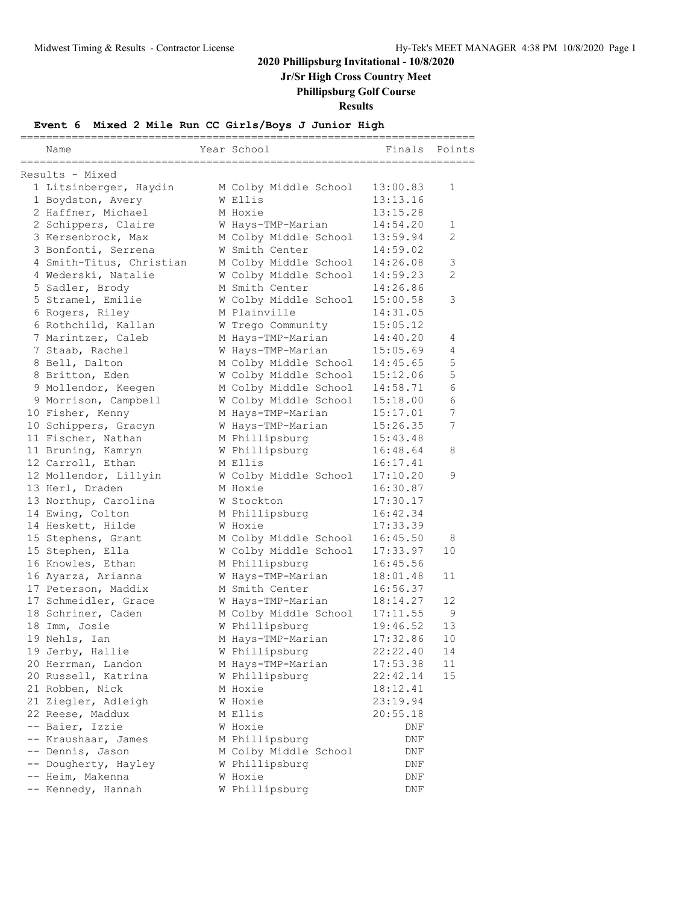**Jr/Sr High Cross Country Meet**

**Phillipsburg Golf Course**

### **Results**

### **Event 6 Mixed 2 Mile Run CC Girls/Boys J Junior High**

| Name                                  | Year School                                    | ====<br>Finals       | Points  |
|---------------------------------------|------------------------------------------------|----------------------|---------|
| ==================<br>Results - Mixed |                                                |                      |         |
| 1 Litsinberger, Haydin                | M Colby Middle School                          | 13:00.83             | 1       |
| 1 Boydston, Avery                     | W Ellis                                        | 13:13.16             |         |
| 2 Haffner, Michael                    | M Hoxie                                        | 13:15.28             |         |
| 2 Schippers, Claire                   | W Hays-TMP-Marian                              | 14:54.20             | 1       |
| 3 Kersenbrock, Max                    | M Colby Middle School                          | 13:59.94             | 2       |
| 3 Bonfonti, Serrena                   | W Smith Center                                 | 14:59.02             |         |
| 4 Smith-Titus, Christian              | M Colby Middle School                          | 14:26.08             | 3       |
| 4 Wederski, Natalie                   | W Colby Middle School                          | 14:59.23             | 2       |
| 5 Sadler, Brody                       | M Smith Center                                 | 14:26.86             |         |
| 5 Stramel, Emilie                     | W Colby Middle School                          | 15:00.58             | 3       |
| 6 Rogers, Riley                       | M Plainville                                   | 14:31.05             |         |
| 6 Rothchild, Kallan                   | W Trego Community                              | 15:05.12             |         |
| 7 Marintzer, Caleb                    | M Hays-TMP-Marian                              | 14:40.20             | 4       |
| 7 Staab, Rachel                       | W Hays-TMP-Marian                              | 15:05.69             | 4       |
| 8 Bell, Dalton                        | M Colby Middle School                          | 14:45.65             | 5       |
| 8 Britton, Eden                       | W Colby Middle School                          | 15:12.06             | 5       |
| 9 Mollendor, Keegen                   | M Colby Middle School                          | 14:58.71             | 6       |
| 9 Morrison, Campbell                  | W Colby Middle School                          | 15:18.00             | 6       |
| 10 Fisher, Kenny                      | M Hays-TMP-Marian                              | 15:17.01             | 7       |
| 10 Schippers, Gracyn                  | W Hays-TMP-Marian                              | 15:26.35             | 7       |
| 11 Fischer, Nathan                    | M Phillipsburg                                 | 15:43.48             |         |
| 11 Bruning, Kamryn                    | W Phillipsburg                                 | 16:48.64             | 8       |
| 12 Carroll, Ethan                     | M Ellis                                        | 16:17.41             |         |
| 12 Mollendor, Lillyin                 | W Colby Middle School                          | 17:10.20             | 9       |
| 13 Herl, Draden                       | M Hoxie                                        | 16:30.87             |         |
| 13 Northup, Carolina                  | W Stockton                                     | 17:30.17             |         |
| 14 Ewing, Colton                      | M Phillipsburg                                 | 16:42.34             |         |
| 14 Heskett, Hilde                     | W Hoxie                                        | 17:33.39             |         |
| 15 Stephens, Grant                    | M Colby Middle School<br>W Colby Middle School | 16:45.50<br>17:33.97 | 8<br>10 |
| 15 Stephen, Ella<br>16 Knowles, Ethan | M Phillipsburg                                 | 16:45.56             |         |
| 16 Ayarza, Arianna                    | W Hays-TMP-Marian                              | 18:01.48             | 11      |
| 17 Peterson, Maddix                   | M Smith Center                                 | 16:56.37             |         |
| 17 Schmeidler, Grace                  | W Hays-TMP-Marian                              | 18:14.27             | 12      |
| 18 Schriner, Caden                    | M Colby Middle School                          | 17:11.55             | 9       |
| 18 Imm, Josie                         | W Phillipsburg                                 | 19:46.52             | 13      |
| 19 Nehls, Ian                         | M Hays-TMP-Marian                              | 17:32.86             | 10      |
| 19 Jerby, Hallie                      | W Phillipsburg                                 | 22:22.40             | 14      |
| 20 Herrman, Landon                    | M Hays-TMP-Marian                              | 17:53.38             | 11      |
| 20 Russell, Katrina                   | W Phillipsburg                                 | 22:42.14             | 15      |
| 21 Robben, Nick                       | M Hoxie                                        | 18:12.41             |         |
| 21 Ziegler, Adleigh                   | W Hoxie                                        | 23:19.94             |         |
| 22 Reese, Maddux                      | M Ellis                                        | 20:55.18             |         |
| -- Baier, Izzie                       | W Hoxie                                        | DNF                  |         |
| -- Kraushaar, James                   | M Phillipsburg                                 | DNF                  |         |
| -- Dennis, Jason                      | M Colby Middle School                          | DNF                  |         |
| -- Dougherty, Hayley                  | W Phillipsburg                                 | DNF                  |         |
| -- Heim, Makenna                      | W Hoxie                                        | DNF                  |         |
| -- Kennedy, Hannah                    | W Phillipsburg                                 | DNF                  |         |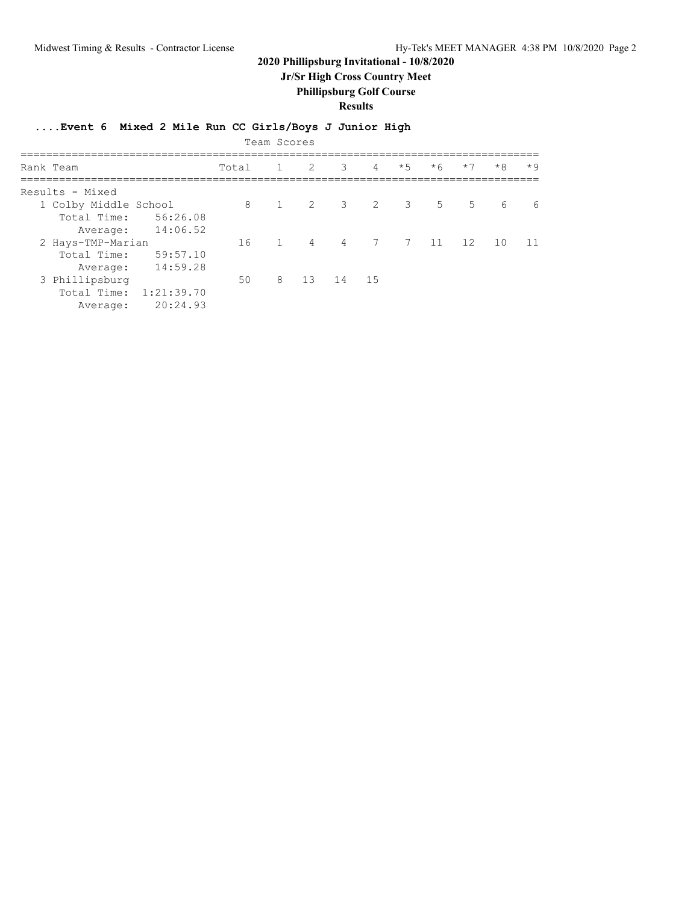**Jr/Sr High Cross Country Meet**

### **Phillipsburg Golf Course**

**Results**

### **....Event 6 Mixed 2 Mile Run CC Girls/Boys J Junior High**

|                       |            |       | Team Scores    |             |          |                |      |                |                 |                  |      |
|-----------------------|------------|-------|----------------|-------------|----------|----------------|------|----------------|-----------------|------------------|------|
| Rank Team             |            | Total |                | $1 \quad 2$ | 3        | $\overline{4}$ | $*5$ | $*6$           | $*7$            | $*8$             | $*9$ |
| Results - Mixed       |            |       |                |             |          |                |      |                |                 |                  |      |
| 1 Colby Middle School |            | 8     | $\overline{1}$ | 2 3 2 3     |          |                |      | 5 <sup>1</sup> | $5\overline{)}$ | $6 \overline{6}$ | 6    |
| Total Time:           | 56:26.08   |       |                |             |          |                |      |                |                 |                  |      |
| Average:              | 14:06.52   |       |                |             |          |                |      |                |                 |                  |      |
| 2 Hays-TMP-Marian     |            | 16    | $\overline{1}$ | 4 4 7 7 11  |          |                |      |                | 12              | 10               | - 11 |
| Total Time:           | 59:57.10   |       |                |             |          |                |      |                |                 |                  |      |
| Average:              | 14:59.28   |       |                |             |          |                |      |                |                 |                  |      |
| 3 Phillipsburg        |            | 50    | 8              |             | 13 14 15 |                |      |                |                 |                  |      |
| Total Time:           | 1:21:39.70 |       |                |             |          |                |      |                |                 |                  |      |
| Average:              | 20:24.93   |       |                |             |          |                |      |                |                 |                  |      |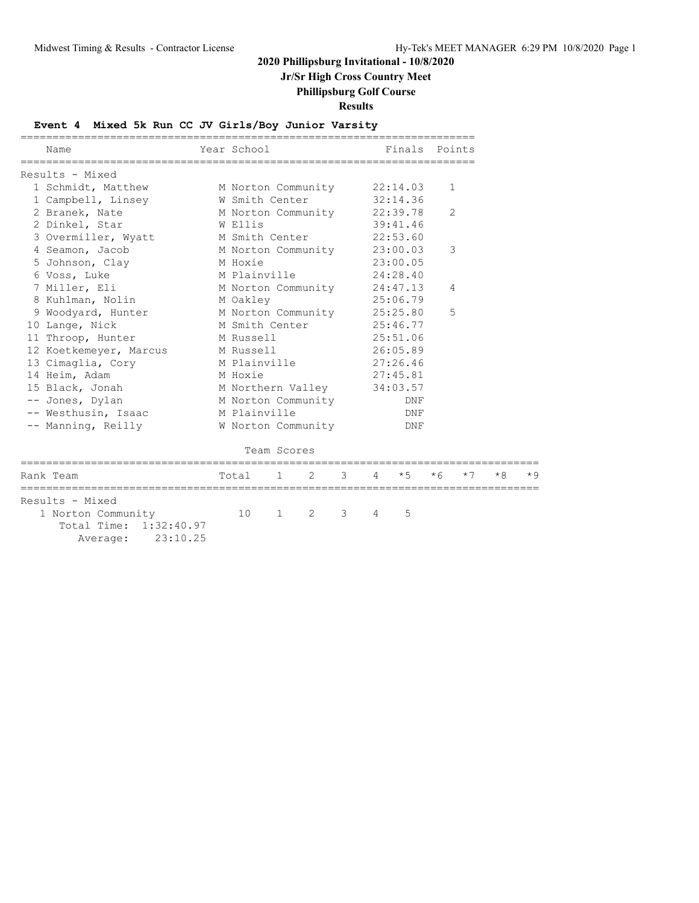### **Jr/Sr High Cross Country Meet**

### **Phillipsburg Golf Course**

**Results**

### **Event 4 Mixed 5k Run CC JV Girls/Boy Junior Varsity**

| Name                                                                                    | Year School                 |              |   |   |   | Finals Points |      |              |      |      |
|-----------------------------------------------------------------------------------------|-----------------------------|--------------|---|---|---|---------------|------|--------------|------|------|
| Results - Mixed                                                                         |                             |              |   |   |   |               |      |              |      |      |
| 1 Schmidt, Matthew                                                                      | M Norton Community 22:14.03 |              |   |   |   |               |      | $\mathbf{1}$ |      |      |
| 1 Campbell, Linsey                                                                      | W Smith Center              |              |   |   |   | 32:14.36      |      |              |      |      |
| 2 Branek, Nate                                                                          | M Norton Community 22:39.78 |              |   |   |   |               |      | 2            |      |      |
| 2 Dinkel, Star                                                                          | W Ellis                     |              |   |   |   | 39:41.46      |      |              |      |      |
| 3 Overmiller, Wyatt                                                                     | M Smith Center              |              |   |   |   | 22:53.60      |      |              |      |      |
| 4 Seamon, Jacob                                                                         | M Norton Community 23:00.03 |              |   |   |   |               |      | 3            |      |      |
| 5 Johnson, Clay                                                                         | M Hoxie                     |              |   |   |   | 23:00.05      |      |              |      |      |
| 6 Voss, Luke                                                                            | M Plainville                |              |   |   |   | 24:28.40      |      |              |      |      |
| 7 Miller, Eli                                                                           | M Norton Community 24:47.13 |              |   |   |   |               |      | 4            |      |      |
| 8 Kuhlman, Nolin                                                                        | M Oakley                    |              |   |   |   | 25:06.79      |      |              |      |      |
| 9 Woodyard, Hunter                                                                      | M Norton Community 25:25.80 |              |   |   |   |               |      | 5            |      |      |
| 10 Lange, Nick                                                                          | M Smith Center              |              |   |   |   | 25:46.77      |      |              |      |      |
| 11 Throop, Hunter                                                                       | M Russell                   |              |   |   |   | 25:51.06      |      |              |      |      |
| 12 Koetkemeyer, Marcus                                                                  | M Russell                   |              |   |   |   | 26:05.89      |      |              |      |      |
| 13 Cimaglia, Cory                                                                       | M Plainville                |              |   |   |   | 27:26.46      |      |              |      |      |
| 14 Heim, Adam                                                                           | M Hoxie                     |              |   |   |   | 27:45.81      |      |              |      |      |
| 15 Black, Jonah                                                                         | M Northern Valley 34:03.57  |              |   |   |   |               |      |              |      |      |
| -- Jones, Dylan                                                                         | M Norton Community          |              |   |   |   | DNF           |      |              |      |      |
| -- Westhusin, Isaac                                                                     | M Plainville                |              |   |   |   | DNF           |      |              |      |      |
| -- Manning, Reilly                                                                      | W Norton Community          |              |   |   |   | DNF           |      |              |      |      |
|                                                                                         | Team Scores                 |              |   |   |   |               |      |              |      |      |
| Rank Team                                                                               | ==================<br>Total | $\mathbf{1}$ | 2 | 3 | 4 | $*5$          | $*6$ | $*7$         | $*8$ | $*9$ |
| Results - Mixed<br>1 Norton Community<br>Total Time: 1:32:40.97<br>23:10.25<br>Average: | 10                          | $\mathbf{1}$ | 2 | 3 | 4 | 5             |      |              |      |      |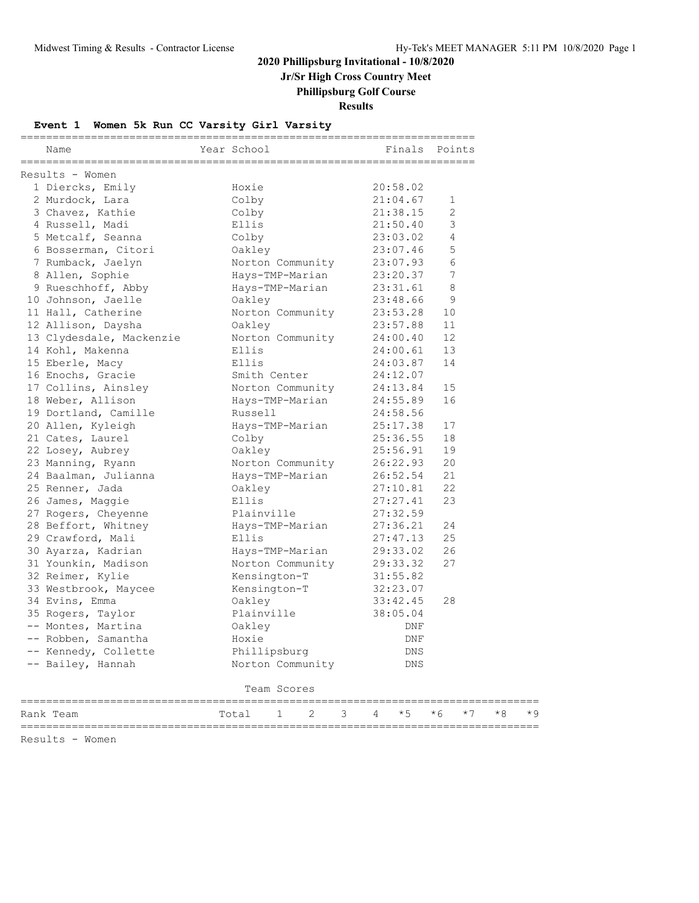**Jr/Sr High Cross Country Meet**

**Phillipsburg Golf Course**

**Results**

### **Event 1 Women 5k Run CC Varsity Girl Varsity**

| Name                          | Year School                                         | Finals Points |    |
|-------------------------------|-----------------------------------------------------|---------------|----|
| Results - Women               |                                                     |               |    |
| 1 Diercks, Emily              | Hoxie                                               | 20:58.02      |    |
| 2 Murdock, Lara               | Colby                                               | 21:04.67      | 1  |
| 3 Chavez, Kathie              | Colby                                               | 21:38.15      | 2  |
| 4 Russell, Madi               | Ellis                                               | 21:50.40      | 3  |
| 5 Metcalf, Seanna             | Colby                                               | 23:03.02      | 4  |
| 6 Bosserman, Citori           | Oakley                                              | 23:07.46      | 5  |
| 7 Rumback, Jaelyn             | Vaniey<br>Norton Community 23:07.93                 |               | 6  |
| 8 Allen, Sophie               | Hays-TMP-Marian                                     | 23:20.37      | 7  |
| 9 Rueschhoff, Abby            | Hays-TMP-Marian                                     | 23:31.61      | 8  |
| 10 Johnson, Jaelle            | Oakley                                              | 23:48.66      | 9  |
| 11 Hall, Catherine            | Norton Community                                    | 23:53.28      | 10 |
| 12 Allison, Daysha            | Oakley                                              | 23:57.88      | 11 |
|                               | 13 Clydesdale, Mackenzie Morton Community           | 24:00.40      | 12 |
| 14 Kohl, Makenna              | Ellis                                               | 24:00.61      | 13 |
| 15 Eberle, Macy               | Ellis                                               | 24:03.87      | 14 |
| 16 Enochs, Gracie             | Smith Center                                        | 24:12.07      |    |
| 17 Collins, Ainsley           | Smith Center<br>Norton Community<br>Hays-TMP-Marian | 24:13.84      | 15 |
| 18 Weber, Allison             | Hays-TMP-Marian                                     | 24:55.89      | 16 |
| 19 Dortland, Camille          | Russell                                             | 24:58.56      |    |
| 20 Allen, Kyleigh             | -<br>Hays-TMP-Marian                                | 25:17.38      | 17 |
| 21 Cates, Laurel              | Colby                                               | 25:36.55      | 18 |
| 22 Losey, Aubrey              | Oakley                                              | 25:56.91      | 19 |
| 23 Manning, Ryann             | Norton Community 26:22.93                           |               | 20 |
| 24 Baalman, Julianna          | Hays-TMP-Marian                                     | 26:52.54      | 21 |
| 25 Renner, Jada               | Oakley                                              | 27:10.81      | 22 |
| 26 James, Maggie              | Ellis                                               | 27:27.41      | 23 |
| 27 Rogers, Cheyenne           | Plainville                                          | 27:32.59      |    |
| 28 Beffort, Whitney           | Hays-TMP-Marian 27:36.21                            |               | 24 |
| 29 Crawford, Mali             | Ellis                                               | 27:47.13      | 25 |
| 30 Ayarza, Kadrian            | Hays-TMP-Marian                                     | 29:33.02      | 26 |
| 31 Younkin, Madison           | Norton Community 29:33.32                           |               | 27 |
| 32 Reimer, Kylie              |                                                     | 31:55.82      |    |
| 33 Westbrook, Maycee          | Kensington-T<br>Kensington-T                        | 32:23.07      |    |
| 34 Evins, Emma                | Oakley                                              | 33:42.45      | 28 |
| 35 Rogers, Taylor             | Plainville                                          | 38:05.04      |    |
| -- Montes, Martina            | Oakley                                              | DNF           |    |
| -- Robben, Samantha           | Hoxie                                               | DNF           |    |
| -- Kennedy, Collette          | Phillipsburg                                        | DNS           |    |
| -- Bailey, Hannah             | Norton Community                                    | <b>DNS</b>    |    |
|                               | Team Scores                                         |               |    |
|                               |                                                     |               |    |
| $D \cap n \mid r$ To $\cap m$ | $T - + -1$                                          | $\star$ 5     |    |

Rank Team  $\begin{array}{ccccccccc} \text{Total} & 1 & 2 & 3 & 4 & *5 & *6 & *7 & *8 & *9 \\ \hline \end{array}$ =================================================================================

Results - Women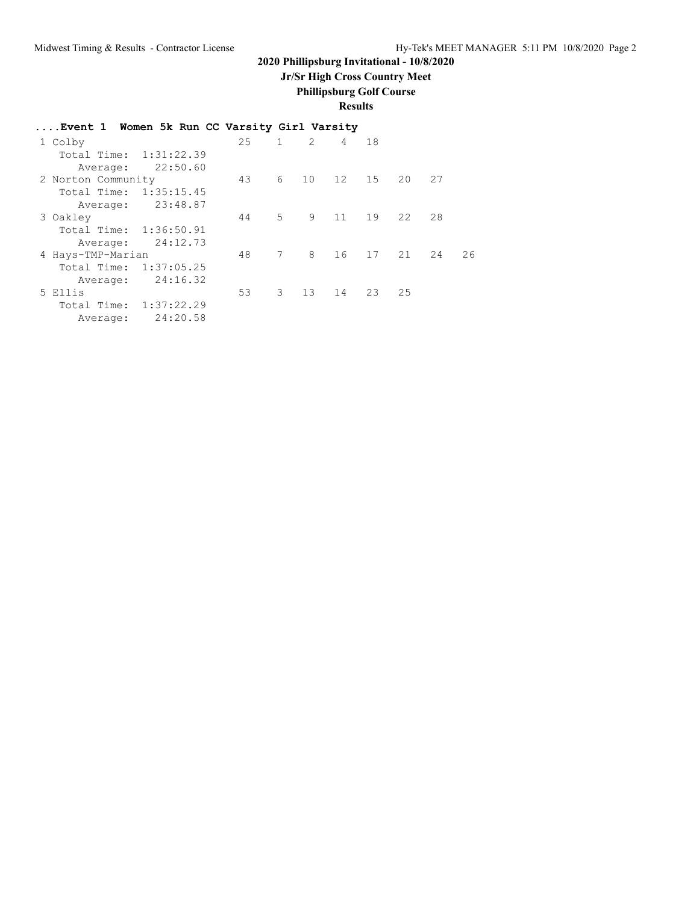# **Jr/Sr High Cross Country Meet**

**Phillipsburg Golf Course**

**Results**

| Event 1 Women 5k Run CC Varsity Girl Varsity |     |               |    |                |       |    |    |    |
|----------------------------------------------|-----|---------------|----|----------------|-------|----|----|----|
| 1 Colby                                      | 2.5 | $\mathbf{1}$  | 2  | $\overline{4}$ | 18    |    |    |    |
| Total Time: 1:31:22.39                       |     |               |    |                |       |    |    |    |
| 22:50.60<br>Average:                         |     |               |    |                |       |    |    |    |
| 2 Norton Community                           | 43  | 6             |    | 10 12          | 15    | 20 | 27 |    |
| 1:35:15.45<br>Total Time:                    |     |               |    |                |       |    |    |    |
| 23:48.87<br>Average:                         |     |               |    |                |       |    |    |    |
| 3 Oakley                                     | 44  | $5 -$         | 9  | 11             | 19    | 22 | 28 |    |
| Total Time: 1:36:50.91                       |     |               |    |                |       |    |    |    |
| 24:12.73<br>Average:                         |     |               |    |                |       |    |    |    |
| 4 Hays-TMP-Marian                            | 48  | 7             | 8  | 16             | 17 21 |    | 24 | 26 |
| 1:37:05.25<br>Total Time:                    |     |               |    |                |       |    |    |    |
| 24:16.32<br>Average:                         |     |               |    |                |       |    |    |    |
| 5 Ellis                                      | 53  | $\mathcal{B}$ | 13 | 14             | 23    | 25 |    |    |
| 1:37:22.29<br>Total Time:                    |     |               |    |                |       |    |    |    |
| 24:20.58<br>Average:                         |     |               |    |                |       |    |    |    |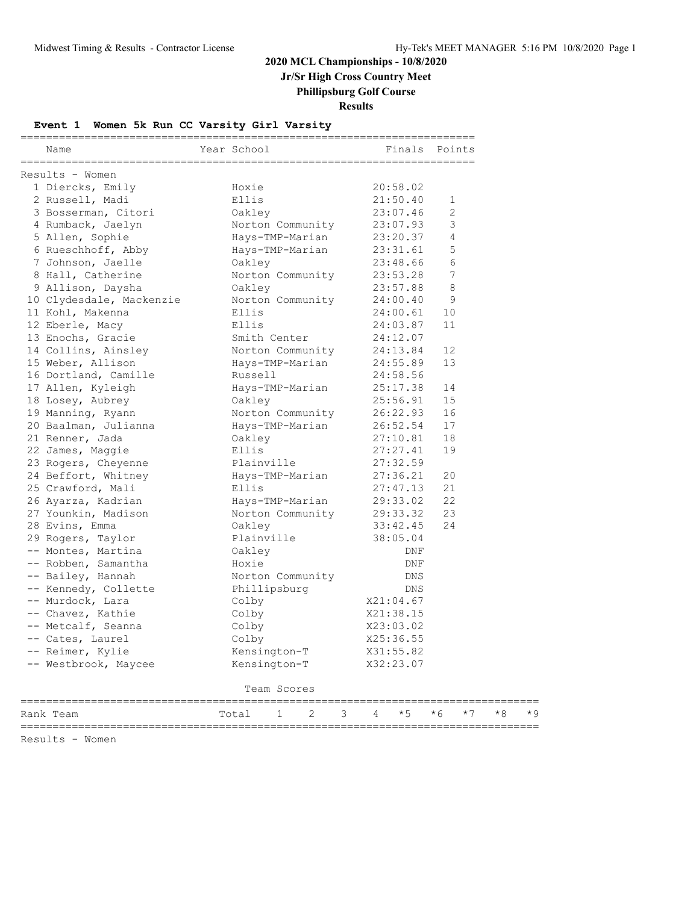# **2020 MCL Championships - 10/8/2020**

**Jr/Sr High Cross Country Meet**

**Phillipsburg Golf Course**

**Results**

### **Event 1 Women 5k Run CC Varsity Girl Varsity**

| Name                 |                              | Year School      |                                        |   |   | Finals Points |             |      |      |      |
|----------------------|------------------------------|------------------|----------------------------------------|---|---|---------------|-------------|------|------|------|
| Results - Women      |                              |                  |                                        |   |   |               |             |      |      |      |
| 1 Diercks, Emily     |                              | Hoxie            |                                        |   |   | 20:58.02      |             |      |      |      |
| 2 Russell, Madi      |                              | Ellis            |                                        |   |   | 21:50.40      | $\mathbf 1$ |      |      |      |
| 3 Bosserman, Citori  |                              | Oakley           |                                        |   |   | 23:07.46      | 2           |      |      |      |
| 4 Rumback, Jaelyn    |                              | Norton Community |                                        |   |   | 23:07.93      | 3           |      |      |      |
| 5 Allen, Sophie      |                              | Hays-TMP-Marian  |                                        |   |   | 23:20.37      | 4           |      |      |      |
| 6 Rueschhoff, Abby   |                              | Hays-TMP-Marian  |                                        |   |   | 23:31.61      | 5           |      |      |      |
| 7 Johnson, Jaelle    |                              | Oakley           |                                        |   |   | 23:48.66      | 6           |      |      |      |
| 8 Hall, Catherine    |                              | Norton Community |                                        |   |   | 23:53.28      | 7           |      |      |      |
| 9 Allison, Daysha    |                              | Oakley           |                                        |   |   | 23:57.88      | 8           |      |      |      |
|                      | 10 Clydesdale, Mackenzie     | Norton Community |                                        |   |   | 24:00.40      | 9           |      |      |      |
| 11 Kohl, Makenna     |                              | Ellis            |                                        |   |   | 24:00.61      | 10          |      |      |      |
| 12 Eberle, Macy      |                              | Ellis            |                                        |   |   | 24:03.87      | 11          |      |      |      |
| 13 Enochs, Gracie    |                              | Smith Center     |                                        |   |   | 24:12.07      |             |      |      |      |
| 14 Collins, Ainsley  |                              | Norton Community |                                        |   |   | 24:13.84      | 12          |      |      |      |
| 15 Weber, Allison    |                              | Hays-TMP-Marian  |                                        |   |   | 24:55.89      | 13          |      |      |      |
| 16 Dortland, Camille |                              | Russell          |                                        |   |   | 24:58.56      |             |      |      |      |
| 17 Allen, Kyleigh    |                              | Hays-TMP-Marian  |                                        |   |   | 25:17.38      | 14          |      |      |      |
| 18 Losey, Aubrey     |                              | Oakley           |                                        |   |   | 25:56.91      | 15          |      |      |      |
| 19 Manning, Ryann    |                              | Norton Community |                                        |   |   | 26:22.93      | 16          |      |      |      |
| 20 Baalman, Julianna |                              | Hays-TMP-Marian  |                                        |   |   | 26:52.54      | 17          |      |      |      |
| 21 Renner, Jada      |                              | Oakley           |                                        |   |   | 27:10.81      | 18          |      |      |      |
| 22 James, Maggie     |                              | Ellis            |                                        |   |   | 27:27.41      | 19          |      |      |      |
| 23 Rogers, Cheyenne  |                              | Plainville       |                                        |   |   | 27:32.59      |             |      |      |      |
| 24 Beffort, Whitney  |                              | Hays-TMP-Marian  |                                        |   |   | 27:36.21      | 20          |      |      |      |
| 25 Crawford, Mali    |                              | Ellis            |                                        |   |   | 27:47.13      | 21          |      |      |      |
| 26 Ayarza, Kadrian   |                              | Hays-TMP-Marian  |                                        |   |   | 29:33.02      | 22          |      |      |      |
| 27 Younkin, Madison  |                              | Norton Community |                                        |   |   | 29:33.32      | 23          |      |      |      |
| 28 Evins, Emma       |                              | Oakley           |                                        |   |   | 33:42.45      | 24          |      |      |      |
| 29 Rogers, Taylor    |                              | Plainville       |                                        |   |   | 38:05.04      |             |      |      |      |
| -- Montes, Martina   |                              | Oakley           |                                        |   |   | DNF           |             |      |      |      |
| -- Robben, Samantha  |                              | Hoxie            |                                        |   |   | DNF           |             |      |      |      |
| -- Bailey, Hannah    |                              | Norton Community |                                        |   |   | <b>DNS</b>    |             |      |      |      |
| -- Kennedy, Collette |                              | Phillipsburg     |                                        |   |   | DNS           |             |      |      |      |
| -- Murdock, Lara     |                              | Colby            |                                        |   |   | X21:04.67     |             |      |      |      |
| -- Chavez, Kathie    |                              | Colby            |                                        |   |   | X21:38.15     |             |      |      |      |
| -- Metcalf, Seanna   |                              | Colby            |                                        |   |   | X23:03.02     |             |      |      |      |
| -- Cates, Laurel     |                              | Colby            |                                        |   |   | X25:36.55     |             |      |      |      |
| -- Reimer, Kylie     |                              | Kensington-T     |                                        |   |   | X31:55.82     |             |      |      |      |
| -- Westbrook, Maycee |                              | Kensington-T     |                                        |   |   | X32:23.07     |             |      |      |      |
|                      |                              | Team Scores      |                                        |   |   |               |             |      |      |      |
| Rank Team            | ____________________________ | 1<br>Total       | =====================<br>$\mathcal{D}$ | 3 | 4 | $*5$          | $*6$        | $*7$ | $*8$ | $*9$ |

=================================================================================

Results - Women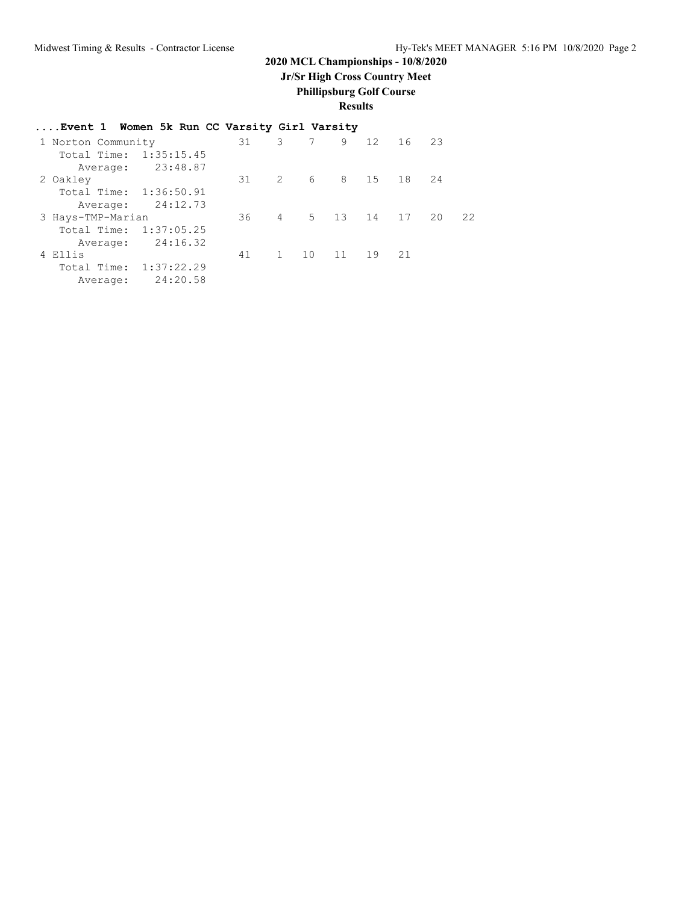### **2020 MCL Championships - 10/8/2020**

**Jr/Sr High Cross Country Meet**

# **Phillipsburg Golf Course**

**Results**

| Event 1 Women 5k Run CC Varsity Girl Varsity |
|----------------------------------------------|
|----------------------------------------------|

| 1 Norton Community     |          | 31 | 3              | 7 | 9           | 12 | 16 23 |        |    |
|------------------------|----------|----|----------------|---|-------------|----|-------|--------|----|
| Total Time: 1:35:15.45 |          |    |                |   |             |    |       |        |    |
| Average:               | 23:48.87 |    |                |   |             |    |       |        |    |
| 2 Oakley               |          | 31 | $\overline{2}$ |   | 6 8 15      |    | 18 24 |        |    |
| Total Time: 1:36:50.91 |          |    |                |   |             |    |       |        |    |
| Average:               | 24:12.73 |    |                |   |             |    |       |        |    |
| 3 Hays-TMP-Marian      |          | 36 | 4              |   | 5 13 14     |    | 17    | $20 -$ | 22 |
| Total Time: 1:37:05.25 |          |    |                |   |             |    |       |        |    |
| Average:               | 24:16.32 |    |                |   |             |    |       |        |    |
| 4 Ellis                |          | 41 | 1              |   | 10 11 19 21 |    |       |        |    |
| Total Time: 1:37:22.29 |          |    |                |   |             |    |       |        |    |
| Average:               | 24:20.58 |    |                |   |             |    |       |        |    |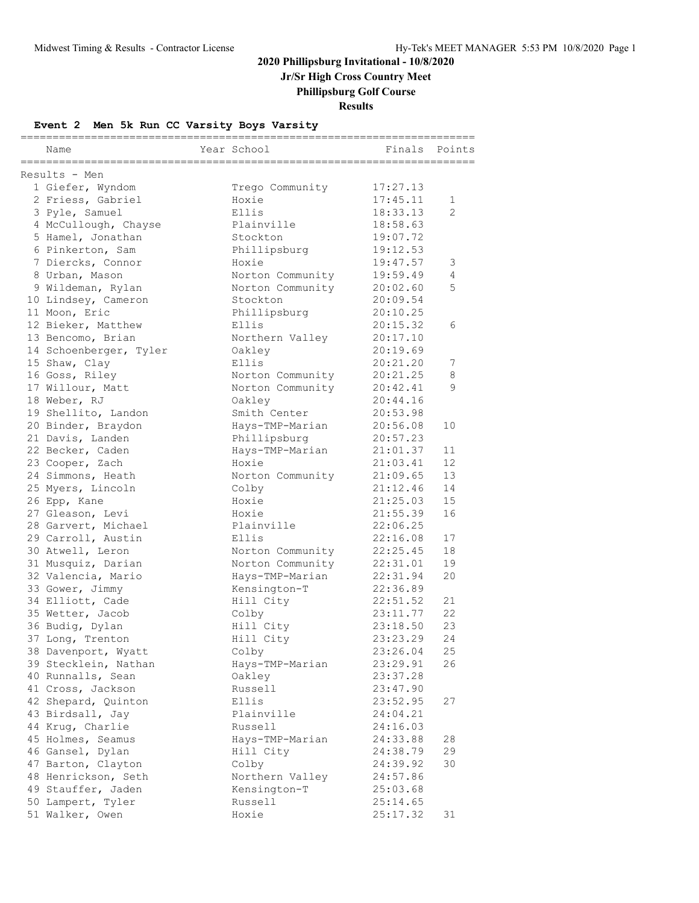**Jr/Sr High Cross Country Meet**

**Phillipsburg Golf Course**

**Results**

### **Event 2 Men 5k Run CC Varsity Boys Varsity**

| Name                                                    | Year School      | ==========<br>Finals | Points         |
|---------------------------------------------------------|------------------|----------------------|----------------|
| ====================<br>==============<br>Results - Men |                  |                      |                |
| 1 Giefer, Wyndom                                        | Trego Community  | 17:27.13             |                |
| 2 Friess, Gabriel                                       | Hoxie            | 17:45.11             | $\mathbf 1$    |
| 3 Pyle, Samuel                                          | Ellis            | 18:33.13             | $\mathfrak{D}$ |
| 4 McCullough, Chayse                                    | Plainville       | 18:58.63             |                |
| 5 Hamel, Jonathan                                       | Stockton         | 19:07.72             |                |
| 6 Pinkerton, Sam                                        | Phillipsburg     | 19:12.53             |                |
| 7 Diercks, Connor                                       | Hoxie            | 19:47.57             | 3              |
| 8 Urban, Mason                                          | Norton Community | 19:59.49             | 4              |
| 9 Wildeman, Rylan                                       | Norton Community | 20:02.60             | 5              |
| 10 Lindsey, Cameron                                     | Stockton         | 20:09.54             |                |
| 11 Moon, Eric                                           | Phillipsburg     | 20:10.25             |                |
| 12 Bieker, Matthew                                      | Ellis            | 20:15.32             | 6              |
| 13 Bencomo, Brian                                       | Northern Valley  | 20:17.10             |                |
| 14 Schoenberger, Tyler                                  | Oakley           | 20:19.69             |                |
| 15 Shaw, Clay                                           | Ellis            | 20:21.20             | 7              |
| 16 Goss, Riley                                          | Norton Community | 20:21.25             | 8              |
| 17 Willour, Matt                                        | Norton Community | 20:42.41             | 9              |
| 18 Weber, RJ                                            | Oakley           | 20:44.16             |                |
| 19 Shellito, Landon                                     | Smith Center     | 20:53.98             |                |
| 20 Binder, Braydon                                      | Hays-TMP-Marian  | 20:56.08             | 10             |
| 21 Davis, Landen                                        | Phillipsburg     | 20:57.23             |                |
| 22 Becker, Caden                                        | Hays-TMP-Marian  | 21:01.37             | 11             |
| 23 Cooper, Zach                                         | Hoxie            | 21:03.41             | 12             |
| 24 Simmons, Heath                                       | Norton Community | 21:09.65             | 13             |
| 25 Myers, Lincoln                                       | Colby            | 21:12.46             | 14             |
| 26 Epp, Kane                                            | Hoxie            | 21:25.03             | 15             |
| 27 Gleason, Levi                                        | Hoxie            | 21:55.39             | 16             |
| 28 Garvert, Michael                                     | Plainville       | 22:06.25             |                |
| 29 Carroll, Austin                                      | Ellis            | 22:16.08             | 17             |
| 30 Atwell, Leron                                        | Norton Community | 22:25.45             | 18             |
| 31 Musquiz, Darian                                      | Norton Community | 22:31.01             | 19             |
| 32 Valencia, Mario                                      | Hays-TMP-Marian  | 22:31.94             | 20             |
| 33 Gower, Jimmy                                         | Kensington-T     | 22:36.89             |                |
| 34 Elliott, Cade                                        | Hill City        | 22:51.52             | 21             |
| 35 Wetter, Jacob                                        | Colby            | 23:11.77             | 22             |
| 36 Budig, Dylan                                         | Hill City        | 23:18.50             | 23             |
| 37 Long, Trenton                                        | Hill City        | 23:23.29             | 24             |
| 38 Davenport, Wyatt                                     | Colby            | 23:26.04             | 25             |
| 39 Stecklein, Nathan                                    | Hays-TMP-Marian  | 23:29.91             | 26             |
| 40 Runnalls, Sean                                       | Oakley           | 23:37.28             |                |
| 41 Cross, Jackson                                       | Russell          | 23:47.90             |                |
| 42 Shepard, Quinton                                     | Ellis            | 23:52.95             | 27             |
| 43 Birdsall, Jay                                        | Plainville       | 24:04.21             |                |
| 44 Krug, Charlie                                        | Russell          | 24:16.03             |                |
| 45 Holmes, Seamus                                       | Hays-TMP-Marian  | 24:33.88             | 28             |
| 46 Gansel, Dylan                                        | Hill City        | 24:38.79             | 29             |
| 47 Barton, Clayton                                      | Colby            | 24:39.92             | 30             |
| 48 Henrickson, Seth                                     | Northern Valley  | 24:57.86             |                |
| 49 Stauffer, Jaden                                      | Kensington-T     | 25:03.68             |                |
| 50 Lampert, Tyler                                       | Russell          | 25:14.65             |                |
| 51 Walker, Owen                                         | Hoxie            | 25:17.32             | 31             |
|                                                         |                  |                      |                |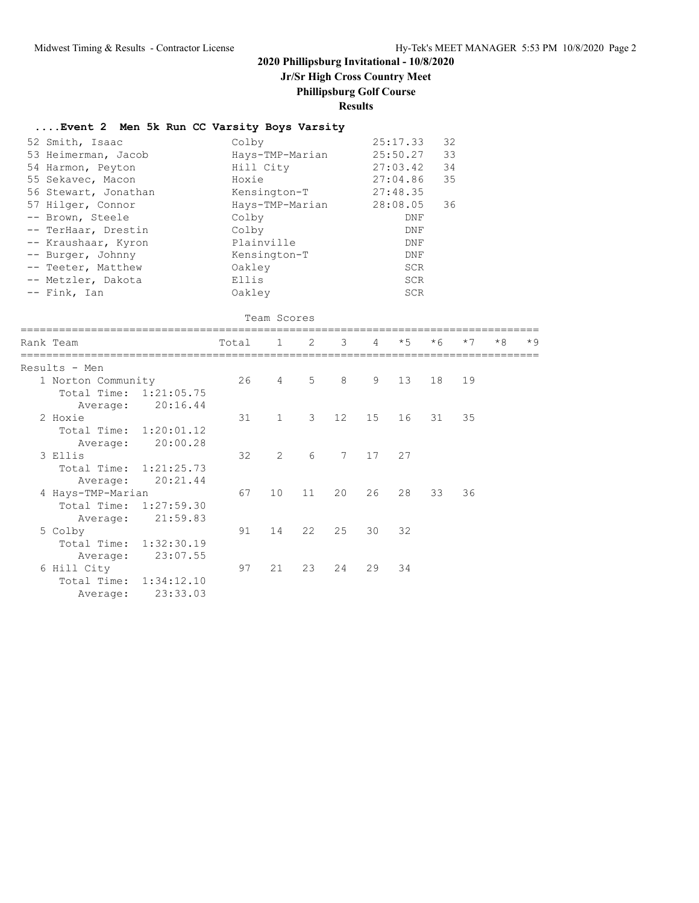# **Jr/Sr High Cross Country Meet**

### **Phillipsburg Golf Course**

### **Results**

### **....Event 2 Men 5k Run CC Varsity Boys Varsity**

| 52 Smith, Isaac<br>53 Heimerman, Jacob<br>54 Harmon, Peyton<br>55 Sekavec, Macon<br>56 Stewart, Jonathan<br>57 Hilger, Connor<br>-- Brown, Steele<br>-- TerHaar, Drestin<br>-- Kraushaar, Kyron<br>-- Burger, Johnny<br>-- Teeter, Matthew<br>-- Metzler, Dakota | Colby<br>Hoxie<br>Colby<br>Colby<br>Oakley<br>Ellis | Hill City<br>Kensington-T<br>Plainville<br>Kensington-T | Hays-TMP-Marian<br>Hays-TMP-Marian |                 |    | 25:17.33<br>25:50.27<br>27:03.42<br>27:04.86<br>27:48.35<br>28:08.05<br><b>DNF</b><br>DNF<br>DNF<br>DNF<br><b>SCR</b><br><b>SCR</b> | 32<br>33<br>34<br>35<br>36 |      |      |      |
|------------------------------------------------------------------------------------------------------------------------------------------------------------------------------------------------------------------------------------------------------------------|-----------------------------------------------------|---------------------------------------------------------|------------------------------------|-----------------|----|-------------------------------------------------------------------------------------------------------------------------------------|----------------------------|------|------|------|
| -- Fink, Ian                                                                                                                                                                                                                                                     | Oakley                                              |                                                         |                                    |                 |    | <b>SCR</b>                                                                                                                          |                            |      |      |      |
|                                                                                                                                                                                                                                                                  |                                                     | Team Scores                                             |                                    |                 |    |                                                                                                                                     |                            |      |      |      |
| Rank Team                                                                                                                                                                                                                                                        | Total                                               | $\mathbf{1}$                                            | 2                                  | 3               | 4  | $*5$                                                                                                                                | $*6$                       | $*7$ | $*8$ | $*9$ |
| Results - Men                                                                                                                                                                                                                                                    |                                                     |                                                         |                                    |                 |    |                                                                                                                                     |                            |      |      |      |
| 1 Norton Community<br>Total Time:<br>1:21:05.75<br>20:16.44<br>Average:                                                                                                                                                                                          | 26                                                  | 4                                                       | 5                                  | 8               | 9  | 13                                                                                                                                  | 18                         | 19   |      |      |
| 2 Hoxie<br>Total Time:<br>1:20:01.12<br>20:00.28<br>Average:                                                                                                                                                                                                     | 31                                                  | $\mathbf{1}$                                            | 3                                  | 12 <sup>°</sup> | 15 | 16                                                                                                                                  | 31                         | 35   |      |      |
| 3 Ellis<br>Total Time:<br>1:21:25.73<br>20:21.44<br>Average:                                                                                                                                                                                                     | 32                                                  | 2                                                       | 6                                  | $7^{\circ}$     | 17 | 27                                                                                                                                  |                            |      |      |      |
| 4 Hays-TMP-Marian<br>Total Time:<br>1:27:59.30<br>21:59.83<br>Average:                                                                                                                                                                                           | 67                                                  | 10 <sup>°</sup>                                         | 11                                 | 20              | 26 | 28                                                                                                                                  | 33                         | 36   |      |      |
| 5 Colby<br>Total Time:<br>1:32:30.19<br>23:07.55<br>Average:                                                                                                                                                                                                     | 91                                                  | 14                                                      | 22                                 | 25              | 30 | 32                                                                                                                                  |                            |      |      |      |
| 6 Hill City<br>Total Time:<br>1:34:12.10<br>23:33.03<br>Average:                                                                                                                                                                                                 | 97                                                  | 21                                                      | 23                                 | 24              | 29 | 34                                                                                                                                  |                            |      |      |      |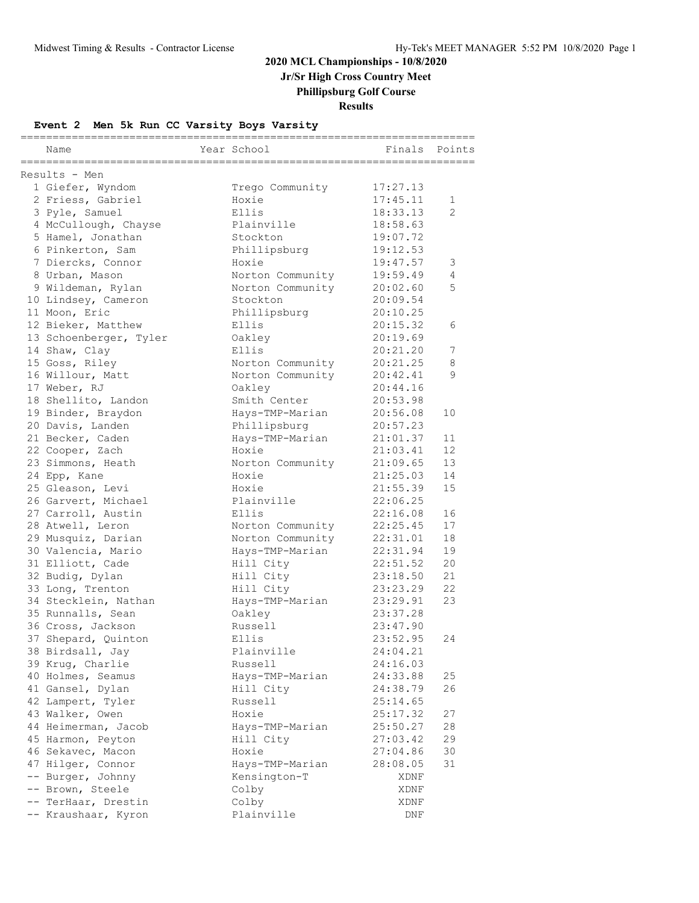## **2020 MCL Championships - 10/8/2020 Jr/Sr High Cross Country Meet**

**Phillipsburg Golf Course**

**Results**

### **Event 2 Men 5k Run CC Varsity Boys Varsity**

|                                  |                           | ======================= |                |
|----------------------------------|---------------------------|-------------------------|----------------|
| Name                             | Year School               | Finals                  | Points         |
| Results - Men                    |                           |                         |                |
| 1 Giefer, Wyndom                 | Trego Community           | 17:27.13                |                |
| 2 Friess, Gabriel                | Hoxie                     | 17:45.11                | 1              |
| 3 Pyle, Samuel                   | Ellis                     | 18:33.13                | $\mathfrak{D}$ |
| 4 McCullough, Chayse             | Plainville                | 18:58.63                |                |
| 5 Hamel, Jonathan                | Stockton                  | 19:07.72                |                |
| 6 Pinkerton, Sam                 | Phillipsburg              | 19:12.53                |                |
| 7 Diercks, Connor                | Hoxie                     | 19:47.57                | 3              |
| 8 Urban, Mason                   | Norton Community          | 19:59.49                | $\overline{4}$ |
| 9 Wildeman, Rylan                | Norton Community          | 20:02.60                | 5              |
| 10 Lindsey, Cameron              | Stockton                  | 20:09.54                |                |
| 11 Moon, Eric                    | Phillipsburg              | 20:10.25                |                |
| 12 Bieker, Matthew               | Ellis                     | 20:15.32                | 6              |
| 13 Schoenberger, Tyler           | Oakley                    | 20:19.69                |                |
| 14 Shaw, Clay                    | Ellis                     | 20:21.20                | 7              |
| 15 Goss, Riley                   | Norton Community          | 20:21.25                | 8              |
| 16 Willour, Matt                 | Norton Community          | 20:42.41                | 9              |
| 17 Weber, RJ                     | Oakley                    | 20:44.16                |                |
| 18 Shellito, Landon              | Smith Center              | 20:53.98                |                |
| 19 Binder, Braydon               | Hays-TMP-Marian           | 20:56.08                | 10             |
| 20 Davis, Landen                 | Phillipsburg              | 20:57.23                |                |
| 21 Becker, Caden                 | Hays-TMP-Marian           | 21:01.37                | 11             |
|                                  | Hoxie                     | 21:03.41                | 12             |
| 22 Cooper, Zach                  |                           | 21:09.65                | 13             |
| 23 Simmons, Heath                | Norton Community<br>Hoxie | 21:25.03                | 14             |
| 24 Epp, Kane<br>25 Gleason, Levi | Hoxie                     | 21:55.39                | 15             |
|                                  | Plainville                | 22:06.25                |                |
| 26 Garvert, Michael              | Ellis                     | 22:16.08                |                |
| 27 Carroll, Austin               |                           |                         | 16<br>17       |
| 28 Atwell, Leron                 | Norton Community          | 22:25.45<br>22:31.01    |                |
| 29 Musquiz, Darian               | Norton Community          |                         | 18             |
| 30 Valencia, Mario               | Hays-TMP-Marian           | 22:31.94                | 19<br>20       |
| 31 Elliott, Cade                 | Hill City                 | 22:51.52                | 21             |
| 32 Budig, Dylan                  | Hill City                 | 23:18.50                |                |
| 33 Long, Trenton                 | Hill City                 | 23:23.29                | 22             |
| 34 Stecklein, Nathan             | Hays-TMP-Marian           | 23:29.91                | 23             |
| 35 Runnalls, Sean                | Oakley                    | 23:37.28                |                |
| 36 Cross, Jackson                | Russell                   | 23:47.90                |                |
| 37 Shepard, Quinton              | Ellis                     | 23:52.95                | 24             |
| 38 Birdsall, Jay                 | Plainville                | 24:04.21                |                |
| 39 Krug, Charlie                 | Russell                   | 24:16.03                |                |
| 40 Holmes, Seamus                | Hays-TMP-Marian           | 24:33.88                | 25             |
| 41 Gansel, Dylan                 | Hill City                 | 24:38.79                | 26             |
| 42 Lampert, Tyler                | Russell                   | 25:14.65                |                |
| 43 Walker, Owen                  | Hoxie                     | 25:17.32                | 27             |
| 44 Heimerman, Jacob              | Hays-TMP-Marian           | 25:50.27                | 28             |
| 45 Harmon, Peyton                | Hill City                 | 27:03.42                | 29             |
| 46 Sekavec, Macon                | Hoxie                     | 27:04.86                | 30             |
| 47 Hilger, Connor                | Hays-TMP-Marian           | 28:08.05                | 31             |
| -- Burger, Johnny                | Kensington-T              | XDNF                    |                |
| -- Brown, Steele                 | Colby                     | XDNF                    |                |
| -- TerHaar, Drestin              | Colby                     | XDNF                    |                |
| -- Kraushaar, Kyron              | Plainville                | DNF                     |                |